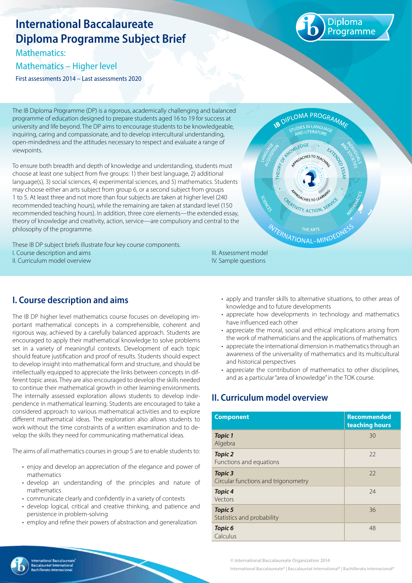# **International Baccalaureate Diploma Programme Subject Brief**

Mathematics:

#### Mathematics – Higher level

First assessments 2014 – Last assessments 2020



The IB Diploma Programme (DP) is a rigorous, academically challenging and balanced programme of education designed to prepare students aged 16 to 19 for success at university and life beyond. The DP aims to encourage students to be knowledgeable, inquiring, caring and compassionate, and to develop intercultural understanding, open-mindedness and the attitudes necessary to respect and evaluate a range of viewpoints.

To ensure both breadth and depth of knowledge and understanding, students must choose at least one subject from five groups: 1) their best language, 2) additional language(s), 3) social sciences, 4) experimental sciences, and 5) mathematics. Students may choose either an arts subject from group 6, or a second subject from groups 1 to 5. At least three and not more than four subjects are taken at higher level (240 recommended teaching hours), while the remaining are taken at standard level (150 recommended teaching hours). In addition, three core elements—the extended essay, theory of knowledge and creativity, action, service—are compulsory and central to the philosophy of the programme.

These IB DP subject briefs illustrate four key course components. I. Course description and aims II. Curriculum model overview



# **I. Course description and aims**

The IB DP higher level mathematics course focuses on developing important mathematical concepts in a comprehensible, coherent and rigorous way, achieved by a carefully balanced approach. Students are encouraged to apply their mathematical knowledge to solve problems set in a variety of meaningful contexts. Development of each topic should feature justification and proof of results. Students should expect to develop insight into mathematical form and structure, and should be intellectually equipped to appreciate the links between concepts in different topic areas. They are also encouraged to develop the skills needed to continue their mathematical growth in other learning environments. The internally assessed exploration allows students to develop independence in mathematical learning. Students are encouraged to take a considered approach to various mathematical activities and to explore different mathematical ideas. The exploration also allows students to work without the time constraints of a written examination and to develop the skills they need for communicating mathematical ideas.

The aims of all mathematics courses in group 5 are to enable students to:

- enjoy and develop an appreciation of the elegance and power of mathematics
- develop an understanding of the principles and nature of mathematics
- communicate clearly and confidently in a variety of contexts
- develop logical, critical and creative thinking, and patience and persistence in problem-solving
- employ and refine their powers of abstraction and generalization

III. Assessment model IV. Sample questions

- apply and transfer skills to alternative situations, to other areas of knowledge and to future developments
- appreciate how developments in technology and mathematics have influenced each other
- appreciate the moral, social and ethical implications arising from the work of mathematicians and the applications of mathematics
- appreciate the international dimension in mathematics through an awareness of the universality of mathematics and its multicultural and historical perspectives
- appreciate the contribution of mathematics to other disciplines, and as a particular "area of knowledge" in the TOK course.

## **II. Curriculum model overview**

| <b>Component</b>                               | <b>Recommended</b><br>teaching hours |
|------------------------------------------------|--------------------------------------|
| <b>Topic 1</b><br>Algebra                      | 30                                   |
| <b>Topic 2</b><br>Functions and equations      | 22                                   |
| Topic 3<br>Circular functions and trigonometry | 22                                   |
| <b>Topic 4</b><br>Vectors                      | 24                                   |
| Topic 5<br>Statistics and probability          | 36                                   |
| Topic <sub>6</sub><br>Calculus                 | 48                                   |



© International Baccalaureate Organization 2014